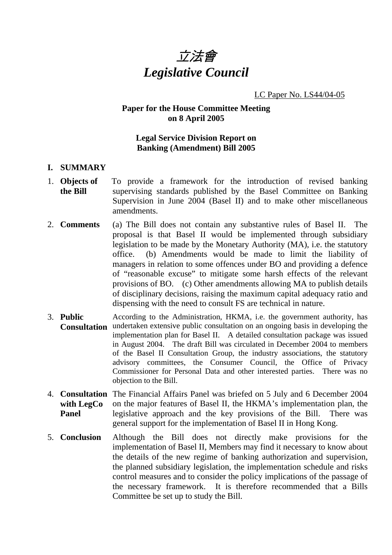

## LC Paper No. LS44/04-05

# **Paper for the House Committee Meeting on 8 April 2005**

## **Legal Service Division Report on Banking (Amendment) Bill 2005**

### **I. SUMMARY**

- 1. **Objects of the Bill**  To provide a framework for the introduction of revised banking supervising standards published by the Basel Committee on Banking Supervision in June 2004 (Basel II) and to make other miscellaneous amendments.
- 2. **Comments** (a) The Bill does not contain any substantive rules of Basel II. The proposal is that Basel II would be implemented through subsidiary legislation to be made by the Monetary Authority (MA), i.e. the statutory office. (b) Amendments would be made to limit the liability of managers in relation to some offences under BO and providing a defence of "reasonable excuse" to mitigate some harsh effects of the relevant provisions of BO. (c) Other amendments allowing MA to publish details of disciplinary decisions, raising the maximum capital adequacy ratio and dispensing with the need to consult FS are technical in nature.
- 3. **Public Consultation**  undertaken extensive public consultation on an ongoing basis in developing the According to the Administration, HKMA, i.e. the government authority, has implementation plan for Basel II. A detailed consultation package was issued in August 2004. The draft Bill was circulated in December 2004 to members of the Basel II Consultation Group, the industry associations, the statutory advisory committees, the Consumer Council, the Office of Privacy Commissioner for Personal Data and other interested parties. There was no objection to the Bill.
- 4. **Consultation**  The Financial Affairs Panel was briefed on 5 July and 6 December 2004 **with LegCo Panel**  on the major features of Basel II, the HKMA's implementation plan, the legislative approach and the key provisions of the Bill. There was general support for the implementation of Basel II in Hong Kong.
- 5. **Conclusion** Although the Bill does not directly make provisions for the implementation of Basel II, Members may find it necessary to know about the details of the new regime of banking authorization and supervision, the planned subsidiary legislation, the implementation schedule and risks control measures and to consider the policy implications of the passage of the necessary framework. It is therefore recommended that a Bills Committee be set up to study the Bill.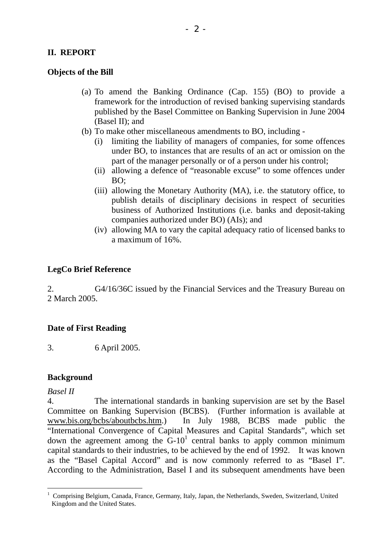# **II. REPORT**

## **Objects of the Bill**

- (a) To amend the Banking Ordinance (Cap. 155) (BO) to provide a framework for the introduction of revised banking supervising standards published by the Basel Committee on Banking Supervision in June 2004 (Basel II); and
- (b) To make other miscellaneous amendments to BO, including
	- limiting the liability of managers of companies, for some offences under BO, to instances that are results of an act or omission on the part of the manager personally or of a person under his control;
	- (ii) allowing a defence of "reasonable excuse" to some offences under BO;
	- (iii) allowing the Monetary Authority (MA), i.e. the statutory office, to publish details of disciplinary decisions in respect of securities business of Authorized Institutions (i.e. banks and deposit-taking companies authorized under BO) (AIs); and
	- (iv) allowing MA to vary the capital adequacy ratio of licensed banks to a maximum of 16%.

## **LegCo Brief Reference**

2. G4/16/36C issued by the Financial Services and the Treasury Bureau on 2 March 2005.

# **Date of First Reading**

3. 6 April 2005.

### **Background**

*Basel II*

4. The international standards in banking supervision are set by the Basel Committee on Banking Supervision (BCBS). (Further information is available at www.bis.org/bcbs/aboutbcbs.htm.) In July 1988, BCBS made public the "International Convergence of Capital Measures and Capital Standards", which set down the agreement among the  $G-10^1$  central banks to apply common minimum capital standards to their industries, to be achieved by the end of 1992. It was known as the "Basel Capital Accord" and is now commonly referred to as "Basel I". According to the Administration, Basel I and its subsequent amendments have been

 $\overline{a}$ <sup>1</sup> Comprising Belgium, Canada, France, Germany, Italy, Japan, the Netherlands, Sweden, Switzerland, United Kingdom and the United States.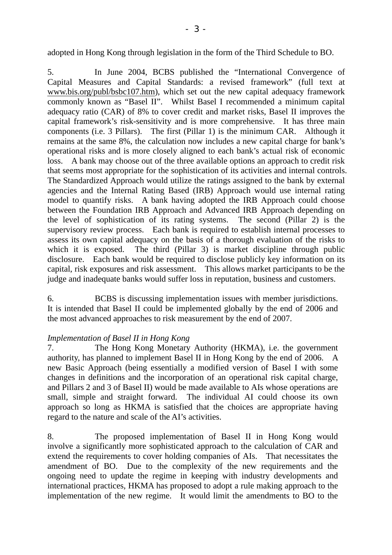adopted in Hong Kong through legislation in the form of the Third Schedule to BO.

5. In June 2004, BCBS published the "International Convergence of Capital Measures and Capital Standards: a revised framework" (full text at www.bis.org/publ/bsbc107.htm), which set out the new capital adequacy framework commonly known as "Basel II". Whilst Basel I recommended a minimum capital adequacy ratio (CAR) of 8% to cover credit and market risks, Basel II improves the capital framework's risk-sensitivity and is more comprehensive. It has three main components (i.e. 3 Pillars). The first (Pillar 1) is the minimum CAR. Although it remains at the same 8%, the calculation now includes a new capital charge for bank's operational risks and is more closely aligned to each bank's actual risk of economic loss. A bank may choose out of the three available options an approach to credit risk that seems most appropriate for the sophistication of its activities and internal controls. The Standardized Approach would utilize the ratings assigned to the bank by external agencies and the Internal Rating Based (IRB) Approach would use internal rating model to quantify risks. A bank having adopted the IRB Approach could choose between the Foundation IRB Approach and Advanced IRB Approach depending on the level of sophistication of its rating systems. The second (Pillar 2) is the supervisory review process. Each bank is required to establish internal processes to assess its own capital adequacy on the basis of a thorough evaluation of the risks to which it is exposed. The third (Pillar 3) is market discipline through public disclosure. Each bank would be required to disclose publicly key information on its capital, risk exposures and risk assessment. This allows market participants to be the judge and inadequate banks would suffer loss in reputation, business and customers.

6. BCBS is discussing implementation issues with member jurisdictions. It is intended that Basel II could be implemented globally by the end of 2006 and the most advanced approaches to risk measurement by the end of 2007.

### *Implementation of Basel II in Hong Kong*

7. The Hong Kong Monetary Authority (HKMA), i.e. the government authority, has planned to implement Basel II in Hong Kong by the end of 2006. A new Basic Approach (being essentially a modified version of Basel I with some changes in definitions and the incorporation of an operational risk capital charge, and Pillars 2 and 3 of Basel II) would be made available to AIs whose operations are small, simple and straight forward. The individual AI could choose its own approach so long as HKMA is satisfied that the choices are appropriate having regard to the nature and scale of the AI's activities.

8. The proposed implementation of Basel II in Hong Kong would involve a significantly more sophisticated approach to the calculation of CAR and extend the requirements to cover holding companies of AIs. That necessitates the amendment of BO. Due to the complexity of the new requirements and the ongoing need to update the regime in keeping with industry developments and international practices, HKMA has proposed to adopt a rule making approach to the implementation of the new regime. It would limit the amendments to BO to the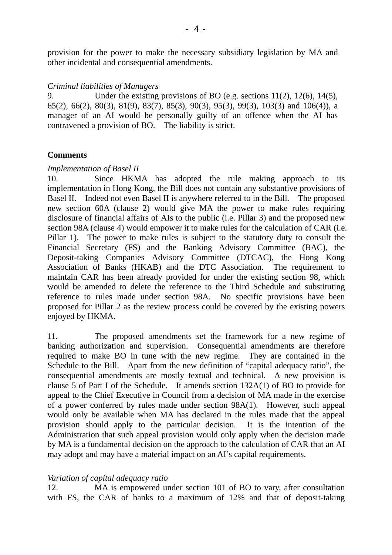provision for the power to make the necessary subsidiary legislation by MA and other incidental and consequential amendments.

#### *Criminal liabilities of Managers*

9. Under the existing provisions of BO (e.g. sections 11(2), 12(6), 14(5), 65(2), 66(2), 80(3), 81(9), 83(7), 85(3), 90(3), 95(3), 99(3), 103(3) and 106(4)), a manager of an AI would be personally guilty of an offence when the AI has contravened a provision of BO. The liability is strict.

### **Comments**

#### *Implementation of Basel II*

10. Since HKMA has adopted the rule making approach to its implementation in Hong Kong, the Bill does not contain any substantive provisions of Basel II. Indeed not even Basel II is anywhere referred to in the Bill. The proposed new section 60A (clause 2) would give MA the power to make rules requiring disclosure of financial affairs of AIs to the public (i.e. Pillar 3) and the proposed new section 98A (clause 4) would empower it to make rules for the calculation of CAR (i.e. Pillar 1). The power to make rules is subject to the statutory duty to consult the Financial Secretary (FS) and the Banking Advisory Committee (BAC), the Deposit-taking Companies Advisory Committee (DTCAC), the Hong Kong Association of Banks (HKAB) and the DTC Association. The requirement to maintain CAR has been already provided for under the existing section 98, which would be amended to delete the reference to the Third Schedule and substituting reference to rules made under section 98A. No specific provisions have been proposed for Pillar 2 as the review process could be covered by the existing powers enjoyed by HKMA.

11. The proposed amendments set the framework for a new regime of banking authorization and supervision. Consequential amendments are therefore required to make BO in tune with the new regime. They are contained in the Schedule to the Bill. Apart from the new definition of "capital adequacy ratio", the consequential amendments are mostly textual and technical. A new provision is clause 5 of Part I of the Schedule. It amends section 132A(1) of BO to provide for appeal to the Chief Executive in Council from a decision of MA made in the exercise of a power conferred by rules made under section 98A(1). However, such appeal would only be available when MA has declared in the rules made that the appeal provision should apply to the particular decision. It is the intention of the Administration that such appeal provision would only apply when the decision made by MA is a fundamental decision on the approach to the calculation of CAR that an AI may adopt and may have a material impact on an AI's capital requirements.

#### *Variation of capital adequacy ratio*

12. MA is empowered under section 101 of BO to vary, after consultation with FS, the CAR of banks to a maximum of 12% and that of deposit-taking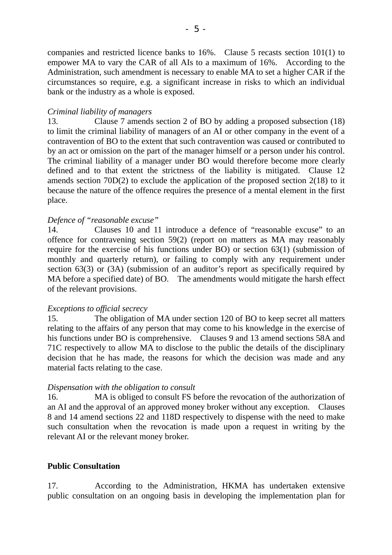companies and restricted licence banks to 16%. Clause 5 recasts section 101(1) to empower MA to vary the CAR of all AIs to a maximum of 16%. According to the Administration, such amendment is necessary to enable MA to set a higher CAR if the circumstances so require, e.g. a significant increase in risks to which an individual bank or the industry as a whole is exposed.

#### *Criminal liability of managers*

13. Clause 7 amends section 2 of BO by adding a proposed subsection (18) to limit the criminal liability of managers of an AI or other company in the event of a contravention of BO to the extent that such contravention was caused or contributed to by an act or omission on the part of the manager himself or a person under his control. The criminal liability of a manager under BO would therefore become more clearly defined and to that extent the strictness of the liability is mitigated. Clause 12 amends section 70D(2) to exclude the application of the proposed section 2(18) to it because the nature of the offence requires the presence of a mental element in the first place.

#### *Defence of "reasonable excuse"*

14. Clauses 10 and 11 introduce a defence of "reasonable excuse" to an offence for contravening section 59(2) (report on matters as MA may reasonably require for the exercise of his functions under BO) or section 63(1) (submission of monthly and quarterly return), or failing to comply with any requirement under section 63(3) or (3A) (submission of an auditor's report as specifically required by MA before a specified date) of BO. The amendments would mitigate the harsh effect of the relevant provisions.

#### *Exceptions to official secrecy*

15. The obligation of MA under section 120 of BO to keep secret all matters relating to the affairs of any person that may come to his knowledge in the exercise of his functions under BO is comprehensive. Clauses 9 and 13 amend sections 58A and 71C respectively to allow MA to disclose to the public the details of the disciplinary decision that he has made, the reasons for which the decision was made and any material facts relating to the case.

#### *Dispensation with the obligation to consult*

16. MA is obliged to consult FS before the revocation of the authorization of an AI and the approval of an approved money broker without any exception. Clauses 8 and 14 amend sections 22 and 118D respectively to dispense with the need to make such consultation when the revocation is made upon a request in writing by the relevant AI or the relevant money broker.

### **Public Consultation**

17. According to the Administration, HKMA has undertaken extensive public consultation on an ongoing basis in developing the implementation plan for